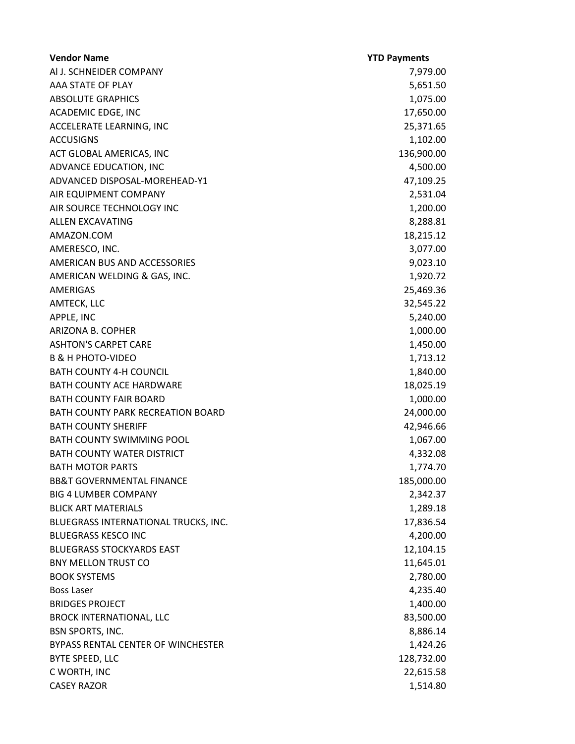| <b>Vendor Name</b>                   | <b>YTD Payments</b> |
|--------------------------------------|---------------------|
| AI J. SCHNEIDER COMPANY              | 7,979.00            |
| AAA STATE OF PLAY                    | 5,651.50            |
| <b>ABSOLUTE GRAPHICS</b>             | 1,075.00            |
| ACADEMIC EDGE, INC                   | 17,650.00           |
| ACCELERATE LEARNING, INC             | 25,371.65           |
| <b>ACCUSIGNS</b>                     | 1,102.00            |
| ACT GLOBAL AMERICAS, INC             | 136,900.00          |
| ADVANCE EDUCATION, INC               | 4,500.00            |
| ADVANCED DISPOSAL-MOREHEAD-Y1        | 47,109.25           |
| AIR EQUIPMENT COMPANY                | 2,531.04            |
| AIR SOURCE TECHNOLOGY INC            | 1,200.00            |
| ALLEN EXCAVATING                     | 8,288.81            |
| AMAZON.COM                           | 18,215.12           |
| AMERESCO, INC.                       | 3,077.00            |
| AMERICAN BUS AND ACCESSORIES         | 9,023.10            |
| AMERICAN WELDING & GAS, INC.         | 1,920.72            |
| AMERIGAS                             | 25,469.36           |
| AMTECK, LLC                          | 32,545.22           |
| APPLE, INC                           | 5,240.00            |
| ARIZONA B. COPHER                    | 1,000.00            |
| <b>ASHTON'S CARPET CARE</b>          | 1,450.00            |
| <b>B &amp; H PHOTO-VIDEO</b>         | 1,713.12            |
| <b>BATH COUNTY 4-H COUNCIL</b>       | 1,840.00            |
| <b>BATH COUNTY ACE HARDWARE</b>      | 18,025.19           |
| <b>BATH COUNTY FAIR BOARD</b>        | 1,000.00            |
| BATH COUNTY PARK RECREATION BOARD    | 24,000.00           |
| <b>BATH COUNTY SHERIFF</b>           | 42,946.66           |
| <b>BATH COUNTY SWIMMING POOL</b>     | 1,067.00            |
| <b>BATH COUNTY WATER DISTRICT</b>    | 4,332.08            |
| <b>BATH MOTOR PARTS</b>              | 1,774.70            |
| <b>BB&amp;T GOVERNMENTAL FINANCE</b> | 185,000.00          |
| <b>BIG 4 LUMBER COMPANY</b>          | 2,342.37            |
| <b>BLICK ART MATERIALS</b>           | 1,289.18            |
| BLUEGRASS INTERNATIONAL TRUCKS, INC. | 17,836.54           |
| <b>BLUEGRASS KESCO INC</b>           | 4,200.00            |
| <b>BLUEGRASS STOCKYARDS EAST</b>     | 12,104.15           |
| <b>BNY MELLON TRUST CO</b>           | 11,645.01           |
| <b>BOOK SYSTEMS</b>                  | 2,780.00            |
| <b>Boss Laser</b>                    | 4,235.40            |
| <b>BRIDGES PROJECT</b>               | 1,400.00            |
| <b>BROCK INTERNATIONAL, LLC</b>      | 83,500.00           |
| <b>BSN SPORTS, INC.</b>              | 8,886.14            |
| BYPASS RENTAL CENTER OF WINCHESTER   | 1,424.26            |
| BYTE SPEED, LLC                      | 128,732.00          |
| C WORTH, INC                         | 22,615.58           |
| <b>CASEY RAZOR</b>                   | 1,514.80            |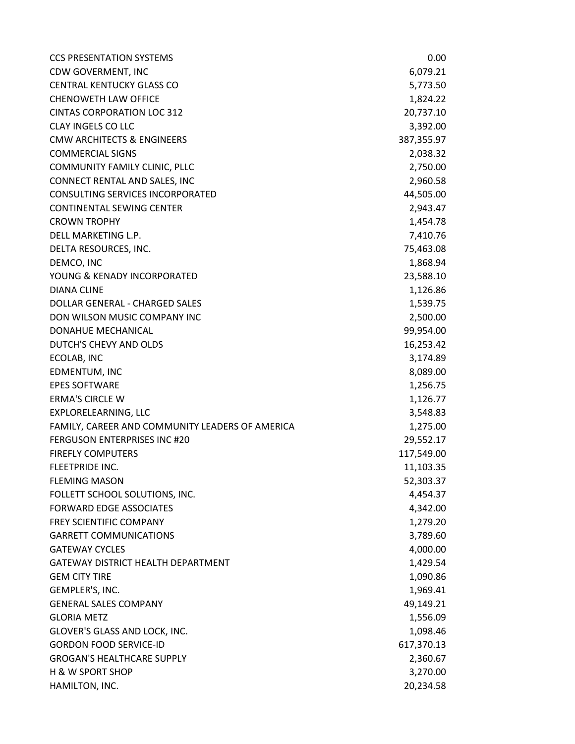| <b>CCS PRESENTATION SYSTEMS</b>                 | 0.00       |
|-------------------------------------------------|------------|
| CDW GOVERMENT, INC                              | 6,079.21   |
| <b>CENTRAL KENTUCKY GLASS CO</b>                | 5,773.50   |
| <b>CHENOWETH LAW OFFICE</b>                     | 1,824.22   |
| <b>CINTAS CORPORATION LOC 312</b>               | 20,737.10  |
| <b>CLAY INGELS CO LLC</b>                       | 3,392.00   |
| <b>CMW ARCHITECTS &amp; ENGINEERS</b>           | 387,355.97 |
| <b>COMMERCIAL SIGNS</b>                         | 2,038.32   |
| COMMUNITY FAMILY CLINIC, PLLC                   | 2,750.00   |
| CONNECT RENTAL AND SALES, INC                   | 2,960.58   |
| <b>CONSULTING SERVICES INCORPORATED</b>         | 44,505.00  |
| <b>CONTINENTAL SEWING CENTER</b>                | 2,943.47   |
| <b>CROWN TROPHY</b>                             | 1,454.78   |
| DELL MARKETING L.P.                             | 7,410.76   |
| DELTA RESOURCES, INC.                           | 75,463.08  |
| DEMCO, INC                                      | 1,868.94   |
| YOUNG & KENADY INCORPORATED                     | 23,588.10  |
| <b>DIANA CLINE</b>                              | 1,126.86   |
| DOLLAR GENERAL - CHARGED SALES                  | 1,539.75   |
| DON WILSON MUSIC COMPANY INC                    | 2,500.00   |
| DONAHUE MECHANICAL                              | 99,954.00  |
| DUTCH'S CHEVY AND OLDS                          | 16,253.42  |
| ECOLAB, INC                                     | 3,174.89   |
| EDMENTUM, INC                                   | 8,089.00   |
| <b>EPES SOFTWARE</b>                            | 1,256.75   |
| <b>ERMA'S CIRCLE W</b>                          | 1,126.77   |
| EXPLORELEARNING, LLC                            | 3,548.83   |
| FAMILY, CAREER AND COMMUNITY LEADERS OF AMERICA | 1,275.00   |
| <b>FERGUSON ENTERPRISES INC #20</b>             | 29,552.17  |
| <b>FIREFLY COMPUTERS</b>                        | 117,549.00 |
| <b>FLEETPRIDE INC.</b>                          | 11,103.35  |
| <b>FLEMING MASON</b>                            | 52,303.37  |
| FOLLETT SCHOOL SOLUTIONS, INC.                  | 4,454.37   |
| <b>FORWARD EDGE ASSOCIATES</b>                  | 4,342.00   |
| FREY SCIENTIFIC COMPANY                         | 1,279.20   |
| <b>GARRETT COMMUNICATIONS</b>                   | 3,789.60   |
| <b>GATEWAY CYCLES</b>                           | 4,000.00   |
| GATEWAY DISTRICT HEALTH DEPARTMENT              | 1,429.54   |
| <b>GEM CITY TIRE</b>                            | 1,090.86   |
| GEMPLER'S, INC.                                 | 1,969.41   |
| <b>GENERAL SALES COMPANY</b>                    | 49,149.21  |
| <b>GLORIA METZ</b>                              | 1,556.09   |
| GLOVER'S GLASS AND LOCK, INC.                   | 1,098.46   |
| <b>GORDON FOOD SERVICE-ID</b>                   | 617,370.13 |
| <b>GROGAN'S HEALTHCARE SUPPLY</b>               | 2,360.67   |
| <b>H &amp; W SPORT SHOP</b>                     | 3,270.00   |
| HAMILTON, INC.                                  | 20,234.58  |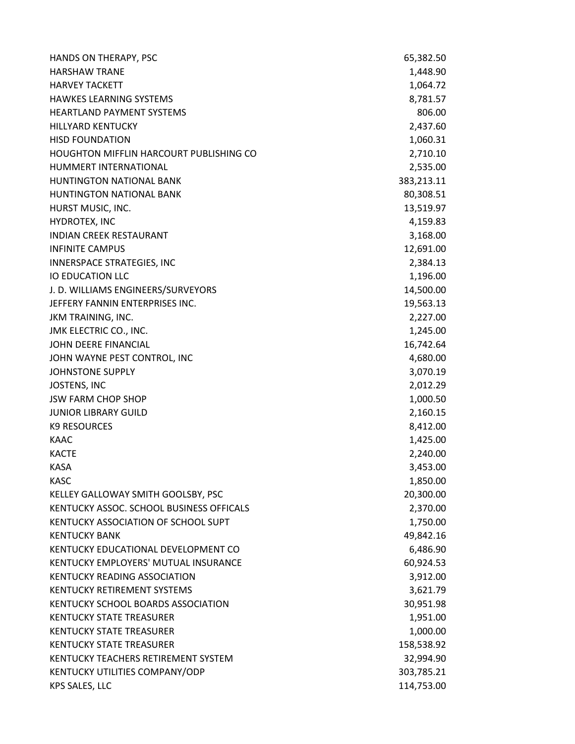| HANDS ON THERAPY, PSC                          | 65,382.50  |
|------------------------------------------------|------------|
| <b>HARSHAW TRANE</b>                           | 1,448.90   |
| <b>HARVEY TACKETT</b>                          | 1,064.72   |
| <b>HAWKES LEARNING SYSTEMS</b>                 | 8,781.57   |
| <b>HEARTLAND PAYMENT SYSTEMS</b>               | 806.00     |
| <b>HILLYARD KENTUCKY</b>                       | 2,437.60   |
| <b>HISD FOUNDATION</b>                         | 1,060.31   |
| <b>HOUGHTON MIFFLIN HARCOURT PUBLISHING CO</b> | 2,710.10   |
| HUMMERT INTERNATIONAL                          | 2,535.00   |
| <b>HUNTINGTON NATIONAL BANK</b>                | 383,213.11 |
| <b>HUNTINGTON NATIONAL BANK</b>                | 80,308.51  |
| HURST MUSIC, INC.                              | 13,519.97  |
| HYDROTEX, INC                                  | 4,159.83   |
| <b>INDIAN CREEK RESTAURANT</b>                 | 3,168.00   |
| <b>INFINITE CAMPUS</b>                         | 12,691.00  |
| INNERSPACE STRATEGIES, INC                     | 2,384.13   |
| <b>IO EDUCATION LLC</b>                        | 1,196.00   |
| J. D. WILLIAMS ENGINEERS/SURVEYORS             | 14,500.00  |
| JEFFERY FANNIN ENTERPRISES INC.                | 19,563.13  |
| JKM TRAINING, INC.                             | 2,227.00   |
| JMK ELECTRIC CO., INC.                         | 1,245.00   |
| JOHN DEERE FINANCIAL                           | 16,742.64  |
| JOHN WAYNE PEST CONTROL, INC                   | 4,680.00   |
| <b>JOHNSTONE SUPPLY</b>                        | 3,070.19   |
| JOSTENS, INC                                   | 2,012.29   |
| <b>JSW FARM CHOP SHOP</b>                      | 1,000.50   |
| <b>JUNIOR LIBRARY GUILD</b>                    | 2,160.15   |
| <b>K9 RESOURCES</b>                            | 8,412.00   |
| <b>KAAC</b>                                    | 1,425.00   |
| <b>KACTE</b>                                   | 2,240.00   |
| <b>KASA</b>                                    | 3,453.00   |
| <b>KASC</b>                                    | 1,850.00   |
| KELLEY GALLOWAY SMITH GOOLSBY, PSC             | 20,300.00  |
| KENTUCKY ASSOC. SCHOOL BUSINESS OFFICALS       | 2,370.00   |
| KENTUCKY ASSOCIATION OF SCHOOL SUPT            | 1,750.00   |
| <b>KENTUCKY BANK</b>                           | 49,842.16  |
| KENTUCKY EDUCATIONAL DEVELOPMENT CO            | 6,486.90   |
| KENTUCKY EMPLOYERS' MUTUAL INSURANCE           | 60,924.53  |
| <b>KENTUCKY READING ASSOCIATION</b>            | 3,912.00   |
| KENTUCKY RETIREMENT SYSTEMS                    | 3,621.79   |
| KENTUCKY SCHOOL BOARDS ASSOCIATION             | 30,951.98  |
| <b>KENTUCKY STATE TREASURER</b>                | 1,951.00   |
| <b>KENTUCKY STATE TREASURER</b>                | 1,000.00   |
| <b>KENTUCKY STATE TREASURER</b>                | 158,538.92 |
| KENTUCKY TEACHERS RETIREMENT SYSTEM            | 32,994.90  |
| KENTUCKY UTILITIES COMPANY/ODP                 | 303,785.21 |
| KPS SALES, LLC                                 | 114,753.00 |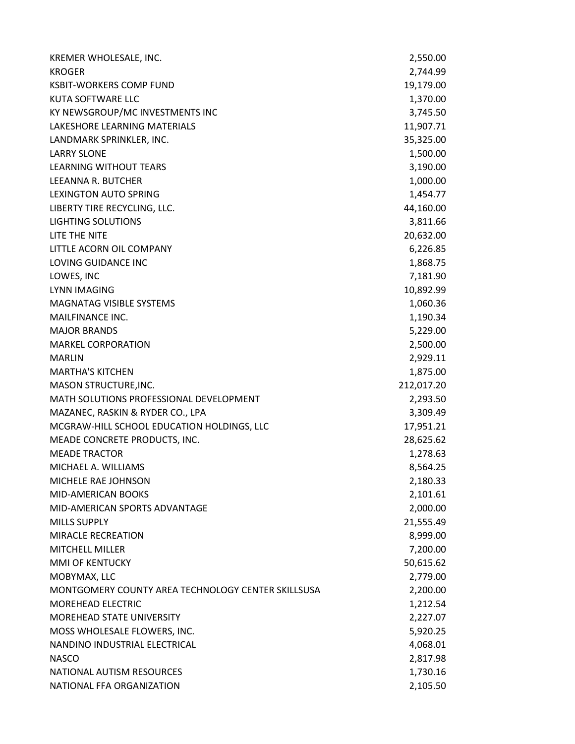| KREMER WHOLESALE, INC.                             | 2,550.00   |
|----------------------------------------------------|------------|
| <b>KROGER</b>                                      | 2,744.99   |
| <b>KSBIT-WORKERS COMP FUND</b>                     | 19,179.00  |
| KUTA SOFTWARE LLC                                  | 1,370.00   |
| KY NEWSGROUP/MC INVESTMENTS INC                    | 3,745.50   |
| LAKESHORE LEARNING MATERIALS                       | 11,907.71  |
| LANDMARK SPRINKLER, INC.                           | 35,325.00  |
| <b>LARRY SLONE</b>                                 | 1,500.00   |
| <b>LEARNING WITHOUT TEARS</b>                      | 3,190.00   |
| LEEANNA R. BUTCHER                                 | 1,000.00   |
| <b>LEXINGTON AUTO SPRING</b>                       | 1,454.77   |
| LIBERTY TIRE RECYCLING, LLC.                       | 44,160.00  |
| <b>LIGHTING SOLUTIONS</b>                          | 3,811.66   |
| LITE THE NITE                                      | 20,632.00  |
| LITTLE ACORN OIL COMPANY                           | 6,226.85   |
| LOVING GUIDANCE INC                                | 1,868.75   |
| LOWES, INC                                         | 7,181.90   |
| <b>LYNN IMAGING</b>                                | 10,892.99  |
| <b>MAGNATAG VISIBLE SYSTEMS</b>                    | 1,060.36   |
| MAILFINANCE INC.                                   | 1,190.34   |
| <b>MAJOR BRANDS</b>                                | 5,229.00   |
| <b>MARKEL CORPORATION</b>                          | 2,500.00   |
| <b>MARLIN</b>                                      | 2,929.11   |
| <b>MARTHA'S KITCHEN</b>                            | 1,875.00   |
| MASON STRUCTURE, INC.                              | 212,017.20 |
| MATH SOLUTIONS PROFESSIONAL DEVELOPMENT            | 2,293.50   |
| MAZANEC, RASKIN & RYDER CO., LPA                   | 3,309.49   |
| MCGRAW-HILL SCHOOL EDUCATION HOLDINGS, LLC         | 17,951.21  |
| MEADE CONCRETE PRODUCTS, INC.                      | 28,625.62  |
| <b>MEADE TRACTOR</b>                               | 1,278.63   |
| MICHAEL A. WILLIAMS                                | 8,564.25   |
| MICHELE RAE JOHNSON                                | 2,180.33   |
| <b>MID-AMERICAN BOOKS</b>                          | 2,101.61   |
| MID-AMERICAN SPORTS ADVANTAGE                      | 2,000.00   |
| <b>MILLS SUPPLY</b>                                | 21,555.49  |
| MIRACLE RECREATION                                 | 8,999.00   |
| <b>MITCHELL MILLER</b>                             | 7,200.00   |
| MMI OF KENTUCKY                                    | 50,615.62  |
| MOBYMAX, LLC                                       | 2,779.00   |
| MONTGOMERY COUNTY AREA TECHNOLOGY CENTER SKILLSUSA | 2,200.00   |
| <b>MOREHEAD ELECTRIC</b>                           | 1,212.54   |
| <b>MOREHEAD STATE UNIVERSITY</b>                   | 2,227.07   |
| MOSS WHOLESALE FLOWERS, INC.                       | 5,920.25   |
| NANDINO INDUSTRIAL ELECTRICAL                      | 4,068.01   |
| <b>NASCO</b>                                       | 2,817.98   |
| NATIONAL AUTISM RESOURCES                          | 1,730.16   |
| NATIONAL FFA ORGANIZATION                          | 2,105.50   |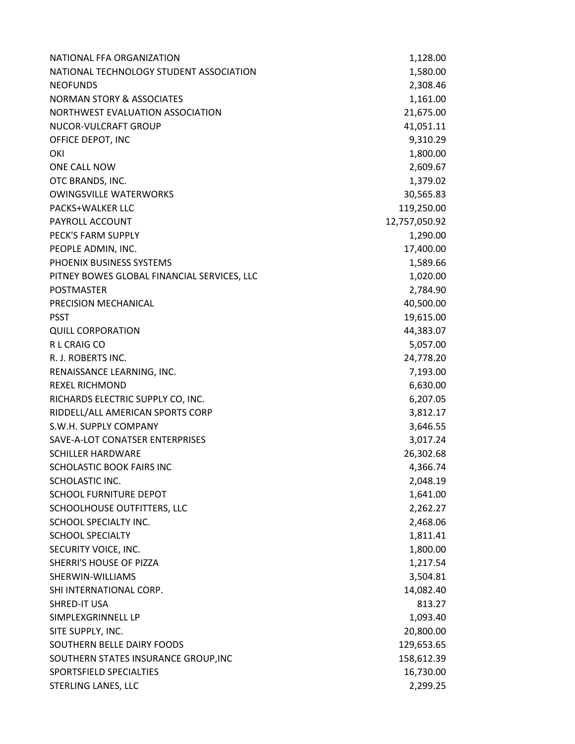| NATIONAL FFA ORGANIZATION                   | 1,128.00      |
|---------------------------------------------|---------------|
| NATIONAL TECHNOLOGY STUDENT ASSOCIATION     | 1,580.00      |
| <b>NEOFUNDS</b>                             | 2,308.46      |
| <b>NORMAN STORY &amp; ASSOCIATES</b>        | 1,161.00      |
| NORTHWEST EVALUATION ASSOCIATION            | 21,675.00     |
| NUCOR-VULCRAFT GROUP                        | 41,051.11     |
| OFFICE DEPOT, INC                           | 9,310.29      |
| OKI                                         | 1,800.00      |
| ONE CALL NOW                                | 2,609.67      |
| OTC BRANDS, INC.                            | 1,379.02      |
| <b>OWINGSVILLE WATERWORKS</b>               | 30,565.83     |
| <b>PACKS+WALKER LLC</b>                     | 119,250.00    |
| PAYROLL ACCOUNT                             | 12,757,050.92 |
| PECK'S FARM SUPPLY                          | 1,290.00      |
| PEOPLE ADMIN, INC.                          | 17,400.00     |
| PHOENIX BUSINESS SYSTEMS                    | 1,589.66      |
| PITNEY BOWES GLOBAL FINANCIAL SERVICES, LLC | 1,020.00      |
| <b>POSTMASTER</b>                           | 2,784.90      |
| PRECISION MECHANICAL                        | 40,500.00     |
| <b>PSST</b>                                 | 19,615.00     |
| <b>QUILL CORPORATION</b>                    | 44,383.07     |
| R L CRAIG CO                                | 5,057.00      |
| R. J. ROBERTS INC.                          | 24,778.20     |
| RENAISSANCE LEARNING, INC.                  | 7,193.00      |
| <b>REXEL RICHMOND</b>                       | 6,630.00      |
| RICHARDS ELECTRIC SUPPLY CO, INC.           | 6,207.05      |
| RIDDELL/ALL AMERICAN SPORTS CORP            | 3,812.17      |
| S.W.H. SUPPLY COMPANY                       | 3,646.55      |
| SAVE-A-LOT CONATSER ENTERPRISES             | 3,017.24      |
| <b>SCHILLER HARDWARE</b>                    | 26,302.68     |
| SCHOLASTIC BOOK FAIRS INC                   | 4,366.74      |
| SCHOLASTIC INC.                             | 2,048.19      |
| <b>SCHOOL FURNITURE DEPOT</b>               | 1,641.00      |
| SCHOOLHOUSE OUTFITTERS, LLC                 | 2,262.27      |
| SCHOOL SPECIALTY INC.                       | 2,468.06      |
| <b>SCHOOL SPECIALTY</b>                     | 1,811.41      |
| SECURITY VOICE, INC.                        | 1,800.00      |
| SHERRI'S HOUSE OF PIZZA                     | 1,217.54      |
| SHERWIN-WILLIAMS                            | 3,504.81      |
| SHI INTERNATIONAL CORP.                     | 14,082.40     |
| SHRED-IT USA                                | 813.27        |
| SIMPLEXGRINNELL LP                          | 1,093.40      |
| SITE SUPPLY, INC.                           | 20,800.00     |
| SOUTHERN BELLE DAIRY FOODS                  | 129,653.65    |
| SOUTHERN STATES INSURANCE GROUP, INC        | 158,612.39    |
| SPORTSFIELD SPECIALTIES                     | 16,730.00     |
| STERLING LANES, LLC                         | 2,299.25      |